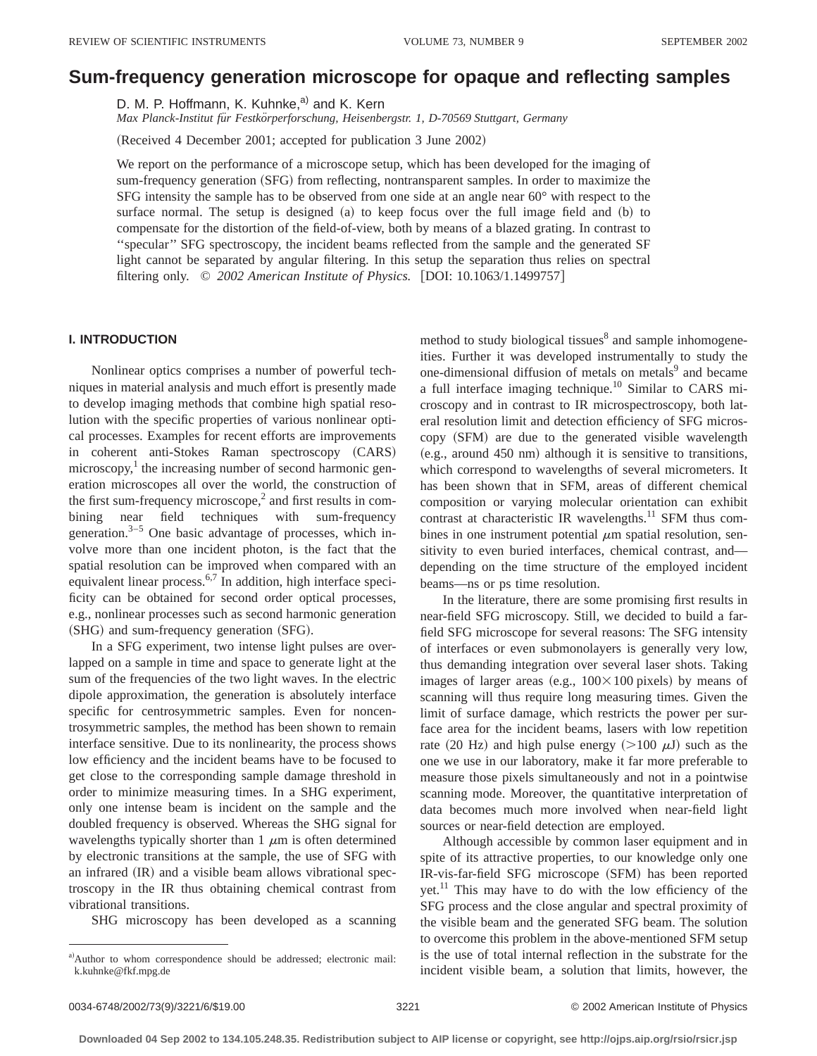# **Sum-frequency generation microscope for opaque and reflecting samples**

D. M. P. Hoffmann, K. Kuhnke,<sup>a)</sup> and K. Kern

*Max Planck-Institut fu¨r Festko¨rperforschung, Heisenbergstr. 1, D-70569 Stuttgart, Germany*

(Received 4 December 2001; accepted for publication 3 June 2002)

We report on the performance of a microscope setup, which has been developed for the imaging of sum-frequency generation (SFG) from reflecting, nontransparent samples. In order to maximize the SFG intensity the sample has to be observed from one side at an angle near 60° with respect to the surface normal. The setup is designed  $(a)$  to keep focus over the full image field and  $(b)$  to compensate for the distortion of the field-of-view, both by means of a blazed grating. In contrast to ''specular'' SFG spectroscopy, the incident beams reflected from the sample and the generated SF light cannot be separated by angular filtering. In this setup the separation thus relies on spectral filtering only.  $\odot$  2002 American Institute of Physics. [DOI: 10.1063/1.1499757]

# **I. INTRODUCTION**

Nonlinear optics comprises a number of powerful techniques in material analysis and much effort is presently made to develop imaging methods that combine high spatial resolution with the specific properties of various nonlinear optical processes. Examples for recent efforts are improvements in coherent anti-Stokes Raman spectroscopy (CARS) microscopy, $<sup>1</sup>$  the increasing number of second harmonic gen-</sup> eration microscopes all over the world, the construction of the first sum-frequency microscope, $<sup>2</sup>$  and first results in com-</sup> bining near field techniques with sum-frequency generation. $3-5$  One basic advantage of processes, which involve more than one incident photon, is the fact that the spatial resolution can be improved when compared with an equivalent linear process.<sup>6,7</sup> In addition, high interface specificity can be obtained for second order optical processes, e.g., nonlinear processes such as second harmonic generation (SHG) and sum-frequency generation (SFG).

In a SFG experiment, two intense light pulses are overlapped on a sample in time and space to generate light at the sum of the frequencies of the two light waves. In the electric dipole approximation, the generation is absolutely interface specific for centrosymmetric samples. Even for noncentrosymmetric samples, the method has been shown to remain interface sensitive. Due to its nonlinearity, the process shows low efficiency and the incident beams have to be focused to get close to the corresponding sample damage threshold in order to minimize measuring times. In a SHG experiment, only one intense beam is incident on the sample and the doubled frequency is observed. Whereas the SHG signal for wavelengths typically shorter than  $1 \mu m$  is often determined by electronic transitions at the sample, the use of SFG with an infrared  $({\rm IR})$  and a visible beam allows vibrational spectroscopy in the IR thus obtaining chemical contrast from vibrational transitions.

SHG microscopy has been developed as a scanning

method to study biological tissues $8$  and sample inhomogeneities. Further it was developed instrumentally to study the one-dimensional diffusion of metals on metals<sup>9</sup> and became a full interface imaging technique.<sup>10</sup> Similar to CARS microscopy and in contrast to IR microspectroscopy, both lateral resolution limit and detection efficiency of SFG microscopy (SFM) are due to the generated visible wavelength  $(e.g., around 450 nm)$  although it is sensitive to transitions, which correspond to wavelengths of several micrometers. It has been shown that in SFM, areas of different chemical composition or varying molecular orientation can exhibit contrast at characteristic IR wavelengths. $11$  SFM thus combines in one instrument potential  $\mu$ m spatial resolution, sensitivity to even buried interfaces, chemical contrast, and depending on the time structure of the employed incident beams—ns or ps time resolution.

In the literature, there are some promising first results in near-field SFG microscopy. Still, we decided to build a farfield SFG microscope for several reasons: The SFG intensity of interfaces or even submonolayers is generally very low, thus demanding integration over several laser shots. Taking images of larger areas (e.g.,  $100 \times 100$  pixels) by means of scanning will thus require long measuring times. Given the limit of surface damage, which restricts the power per surface area for the incident beams, lasers with low repetition rate (20 Hz) and high pulse energy  $(>100 \mu J)$  such as the one we use in our laboratory, make it far more preferable to measure those pixels simultaneously and not in a pointwise scanning mode. Moreover, the quantitative interpretation of data becomes much more involved when near-field light sources or near-field detection are employed.

Although accessible by common laser equipment and in spite of its attractive properties, to our knowledge only one IR-vis-far-field SFG microscope (SFM) has been reported yet.<sup>11</sup> This may have to do with the low efficiency of the SFG process and the close angular and spectral proximity of the visible beam and the generated SFG beam. The solution to overcome this problem in the above-mentioned SFM setup is the use of total internal reflection in the substrate for the incident visible beam, a solution that limits, however, the

a)Author to whom correspondence should be addressed; electronic mail: k.kuhnke@fkf.mpg.de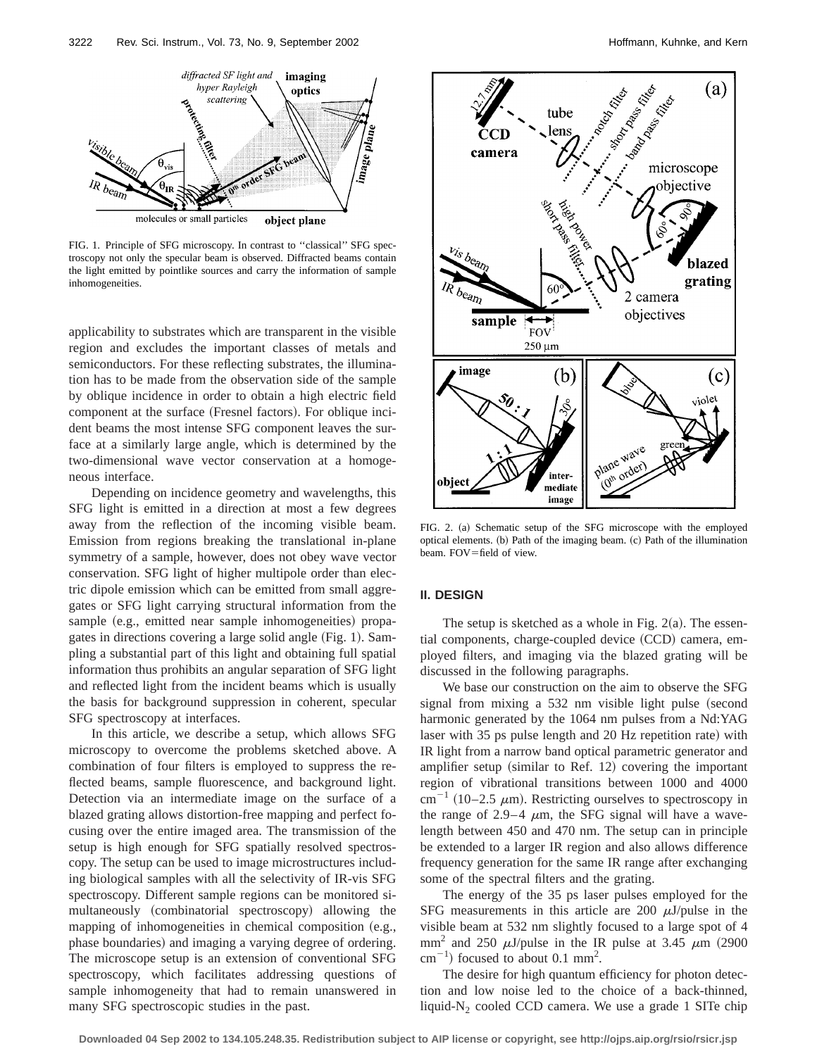

FIG. 1. Principle of SFG microscopy. In contrast to ''classical'' SFG spectroscopy not only the specular beam is observed. Diffracted beams contain the light emitted by pointlike sources and carry the information of sample inhomogeneities.

applicability to substrates which are transparent in the visible region and excludes the important classes of metals and semiconductors. For these reflecting substrates, the illumination has to be made from the observation side of the sample by oblique incidence in order to obtain a high electric field component at the surface (Fresnel factors). For oblique incident beams the most intense SFG component leaves the surface at a similarly large angle, which is determined by the two-dimensional wave vector conservation at a homogeneous interface.

Depending on incidence geometry and wavelengths, this SFG light is emitted in a direction at most a few degrees away from the reflection of the incoming visible beam. Emission from regions breaking the translational in-plane symmetry of a sample, however, does not obey wave vector conservation. SFG light of higher multipole order than electric dipole emission which can be emitted from small aggregates or SFG light carrying structural information from the sample (e.g., emitted near sample inhomogeneities) propagates in directions covering a large solid angle (Fig. 1). Sampling a substantial part of this light and obtaining full spatial information thus prohibits an angular separation of SFG light and reflected light from the incident beams which is usually the basis for background suppression in coherent, specular SFG spectroscopy at interfaces.

In this article, we describe a setup, which allows SFG microscopy to overcome the problems sketched above. A combination of four filters is employed to suppress the reflected beams, sample fluorescence, and background light. Detection via an intermediate image on the surface of a blazed grating allows distortion-free mapping and perfect focusing over the entire imaged area. The transmission of the setup is high enough for SFG spatially resolved spectroscopy. The setup can be used to image microstructures including biological samples with all the selectivity of IR-vis SFG spectroscopy. Different sample regions can be monitored simultaneously (combinatorial spectroscopy) allowing the mapping of inhomogeneities in chemical composition  $(e.g.,)$ phase boundaries) and imaging a varying degree of ordering. The microscope setup is an extension of conventional SFG spectroscopy, which facilitates addressing questions of sample inhomogeneity that had to remain unanswered in many SFG spectroscopic studies in the past.



FIG. 2. (a) Schematic setup of the SFG microscope with the employed optical elements. (b) Path of the imaging beam. (c) Path of the illumination beam. FOV=field of view.

#### **II. DESIGN**

The setup is sketched as a whole in Fig.  $2(a)$ . The essential components, charge-coupled device (CCD) camera, employed filters, and imaging via the blazed grating will be discussed in the following paragraphs.

We base our construction on the aim to observe the SFG signal from mixing a  $532$  nm visible light pulse (second harmonic generated by the 1064 nm pulses from a Nd:YAG laser with 35 ps pulse length and 20 Hz repetition rate) with IR light from a narrow band optical parametric generator and amplifier setup (similar to Ref. 12) covering the important region of vibrational transitions between 1000 and 4000  $cm^{-1}$  (10–2.5  $\mu$ m). Restricting ourselves to spectroscopy in the range of 2.9–4  $\mu$ m, the SFG signal will have a wavelength between 450 and 470 nm. The setup can in principle be extended to a larger IR region and also allows difference frequency generation for the same IR range after exchanging some of the spectral filters and the grating.

The energy of the 35 ps laser pulses employed for the SFG measurements in this article are 200  $\mu$ J/pulse in the visible beam at 532 nm slightly focused to a large spot of 4 mm<sup>2</sup> and 250  $\mu$ J/pulse in the IR pulse at 3.45  $\mu$ m (2900  $\text{cm}^{-1}$ ) focused to about 0.1 mm<sup>2</sup>.

The desire for high quantum efficiency for photon detection and low noise led to the choice of a back-thinned, liquid- $N_2$  cooled CCD camera. We use a grade 1 SITe chip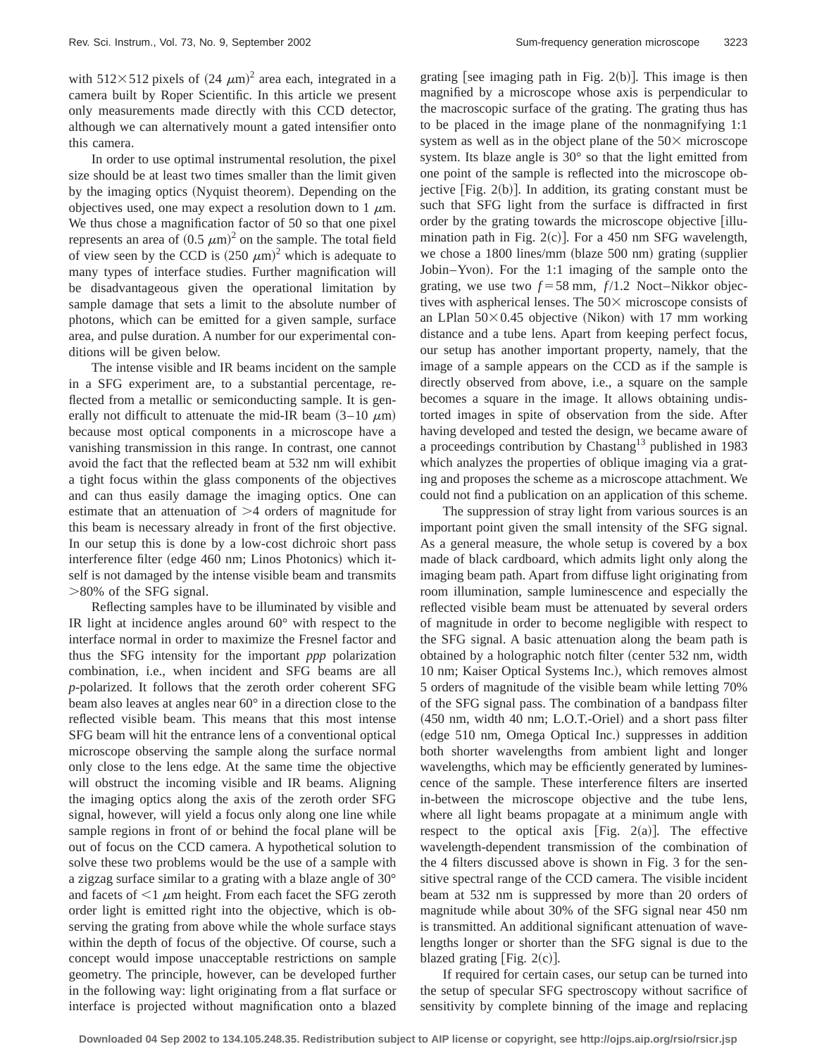with 512×512 pixels of  $(24 \ \mu m)^2$  area each, integrated in a camera built by Roper Scientific. In this article we present only measurements made directly with this CCD detector, although we can alternatively mount a gated intensifier onto this camera.

In order to use optimal instrumental resolution, the pixel size should be at least two times smaller than the limit given by the imaging optics (Nyquist theorem). Depending on the objectives used, one may expect a resolution down to 1  $\mu$ m. We thus chose a magnification factor of 50 so that one pixel represents an area of  $(0.5 \ \mu m)^2$  on the sample. The total field of view seen by the CCD is  $(250 \ \mu m)^2$  which is adequate to many types of interface studies. Further magnification will be disadvantageous given the operational limitation by sample damage that sets a limit to the absolute number of photons, which can be emitted for a given sample, surface area, and pulse duration. A number for our experimental conditions will be given below.

The intense visible and IR beams incident on the sample in a SFG experiment are, to a substantial percentage, reflected from a metallic or semiconducting sample. It is generally not difficult to attenuate the mid-IR beam  $(3-10 \mu m)$ because most optical components in a microscope have a vanishing transmission in this range. In contrast, one cannot avoid the fact that the reflected beam at 532 nm will exhibit a tight focus within the glass components of the objectives and can thus easily damage the imaging optics. One can estimate that an attenuation of  $>4$  orders of magnitude for this beam is necessary already in front of the first objective. In our setup this is done by a low-cost dichroic short pass  $interference$  filter (edge 460 nm; Linos Photonics) which itself is not damaged by the intense visible beam and transmits  $>80\%$  of the SFG signal.

Reflecting samples have to be illuminated by visible and IR light at incidence angles around 60° with respect to the interface normal in order to maximize the Fresnel factor and thus the SFG intensity for the important *ppp* polarization combination, i.e., when incident and SFG beams are all *p*-polarized. It follows that the zeroth order coherent SFG beam also leaves at angles near 60° in a direction close to the reflected visible beam. This means that this most intense SFG beam will hit the entrance lens of a conventional optical microscope observing the sample along the surface normal only close to the lens edge. At the same time the objective will obstruct the incoming visible and IR beams. Aligning the imaging optics along the axis of the zeroth order SFG signal, however, will yield a focus only along one line while sample regions in front of or behind the focal plane will be out of focus on the CCD camera. A hypothetical solution to solve these two problems would be the use of a sample with a zigzag surface similar to a grating with a blaze angle of 30° and facets of  $\leq$ 1  $\mu$ m height. From each facet the SFG zeroth order light is emitted right into the objective, which is observing the grating from above while the whole surface stays within the depth of focus of the objective. Of course, such a concept would impose unacceptable restrictions on sample geometry. The principle, however, can be developed further in the following way: light originating from a flat surface or interface is projected without magnification onto a blazed grating [see imaging path in Fig. 2(b)]. This image is then magnified by a microscope whose axis is perpendicular to the macroscopic surface of the grating. The grating thus has to be placed in the image plane of the nonmagnifying 1:1 system as well as in the object plane of the  $50\times$  microscope system. Its blaze angle is 30° so that the light emitted from one point of the sample is reflected into the microscope objective [Fig.  $2(b)$ ]. In addition, its grating constant must be such that SFG light from the surface is diffracted in first order by the grating towards the microscope objective [illumination path in Fig.  $2(c)$ . For a 450 nm SFG wavelength, we chose a  $1800$  lines/mm (blaze  $500$  nm) grating (supplier Jobin–Yvon). For the 1:1 imaging of the sample onto the grating, we use two  $f = 58$  mm,  $f/1.2$  Noct–Nikkor objectives with aspherical lenses. The  $50\times$  microscope consists of an LPlan  $50\times0.45$  objective (Nikon) with 17 mm working distance and a tube lens. Apart from keeping perfect focus, our setup has another important property, namely, that the image of a sample appears on the CCD as if the sample is directly observed from above, i.e., a square on the sample becomes a square in the image. It allows obtaining undistorted images in spite of observation from the side. After having developed and tested the design, we became aware of a proceedings contribution by Chastang<sup>13</sup> published in 1983 which analyzes the properties of oblique imaging via a grating and proposes the scheme as a microscope attachment. We could not find a publication on an application of this scheme.

The suppression of stray light from various sources is an important point given the small intensity of the SFG signal. As a general measure, the whole setup is covered by a box made of black cardboard, which admits light only along the imaging beam path. Apart from diffuse light originating from room illumination, sample luminescence and especially the reflected visible beam must be attenuated by several orders of magnitude in order to become negligible with respect to the SFG signal. A basic attenuation along the beam path is obtained by a holographic notch filter (center 532 nm, width 10 nm; Kaiser Optical Systems Inc.), which removes almost 5 orders of magnitude of the visible beam while letting 70% of the SFG signal pass. The combination of a bandpass filter  $(450$  nm, width 40 nm; L.O.T.-Oriel) and a short pass filter (edge 510 nm, Omega Optical Inc.) suppresses in addition both shorter wavelengths from ambient light and longer wavelengths, which may be efficiently generated by luminescence of the sample. These interference filters are inserted in-between the microscope objective and the tube lens, where all light beams propagate at a minimum angle with respect to the optical axis [Fig.  $2(a)$ ]. The effective wavelength-dependent transmission of the combination of the 4 filters discussed above is shown in Fig. 3 for the sensitive spectral range of the CCD camera. The visible incident beam at 532 nm is suppressed by more than 20 orders of magnitude while about 30% of the SFG signal near 450 nm is transmitted. An additional significant attenuation of wavelengths longer or shorter than the SFG signal is due to the blazed grating [Fig.  $2(c)$ ].

If required for certain cases, our setup can be turned into the setup of specular SFG spectroscopy without sacrifice of sensitivity by complete binning of the image and replacing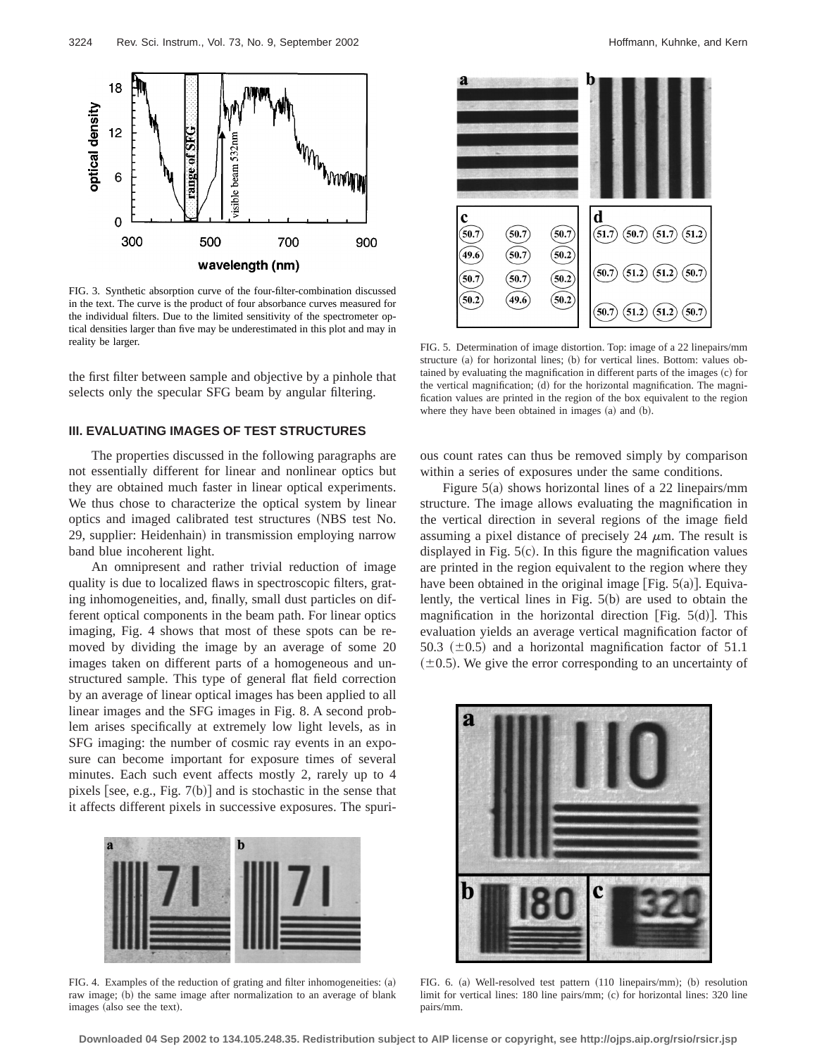

FIG. 3. Synthetic absorption curve of the four-filter-combination discussed in the text. The curve is the product of four absorbance curves measured for the individual filters. Due to the limited sensitivity of the spectrometer optical densities larger than five may be underestimated in this plot and may in reality be larger.

the first filter between sample and objective by a pinhole that selects only the specular SFG beam by angular filtering.

## **III. EVALUATING IMAGES OF TEST STRUCTURES**

The properties discussed in the following paragraphs are not essentially different for linear and nonlinear optics but they are obtained much faster in linear optical experiments. We thus chose to characterize the optical system by linear optics and imaged calibrated test structures (NBS test No. 29, supplier: Heidenhain) in transmission employing narrow band blue incoherent light.

An omnipresent and rather trivial reduction of image quality is due to localized flaws in spectroscopic filters, grating inhomogeneities, and, finally, small dust particles on different optical components in the beam path. For linear optics imaging, Fig. 4 shows that most of these spots can be removed by dividing the image by an average of some 20 images taken on different parts of a homogeneous and unstructured sample. This type of general flat field correction by an average of linear optical images has been applied to all linear images and the SFG images in Fig. 8. A second problem arises specifically at extremely low light levels, as in SFG imaging: the number of cosmic ray events in an exposure can become important for exposure times of several minutes. Each such event affects mostly 2, rarely up to 4 pixels [see, e.g., Fig. 7(b)] and is stochastic in the sense that it affects different pixels in successive exposures. The spuri-



FIG. 4. Examples of the reduction of grating and filter inhomogeneities: (a) raw image; (b) the same image after normalization to an average of blank images (also see the text).



FIG. 5. Determination of image distortion. Top: image of a 22 linepairs/mm structure  $(a)$  for horizontal lines;  $(b)$  for vertical lines. Bottom: values obtained by evaluating the magnification in different parts of the images  $(c)$  for the vertical magnification; (d) for the horizontal magnification. The magnification values are printed in the region of the box equivalent to the region where they have been obtained in images (a) and (b).

ous count rates can thus be removed simply by comparison within a series of exposures under the same conditions.

Figure  $5(a)$  shows horizontal lines of a 22 linepairs/mm structure. The image allows evaluating the magnification in the vertical direction in several regions of the image field assuming a pixel distance of precisely 24  $\mu$ m. The result is displayed in Fig.  $5(c)$ . In this figure the magnification values are printed in the region equivalent to the region where they have been obtained in the original image [Fig.  $5(a)$ ]. Equivalently, the vertical lines in Fig.  $5(b)$  are used to obtain the magnification in the horizontal direction [Fig.  $5(d)$ ]. This evaluation yields an average vertical magnification factor of 50.3  $(\pm 0.5)$  and a horizontal magnification factor of 51.1  $(\pm 0.5)$ . We give the error corresponding to an uncertainty of



FIG. 6. (a) Well-resolved test pattern (110 linepairs/mm); (b) resolution limit for vertical lines:  $180$  line pairs/mm;  $(c)$  for horizontal lines:  $320$  line pairs/mm.

**Downloaded 04 Sep 2002 to 134.105.248.35. Redistribution subject to AIP license or copyright, see http://ojps.aip.org/rsio/rsicr.jsp**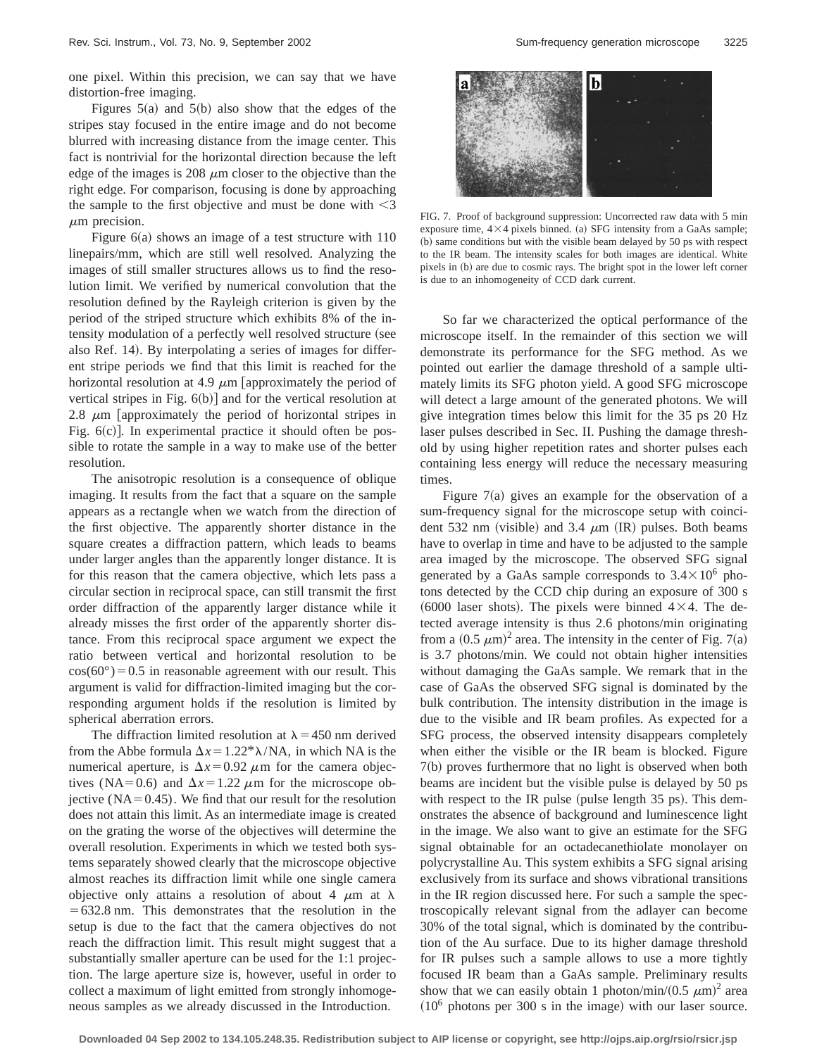one pixel. Within this precision, we can say that we have distortion-free imaging.

Figures  $5(a)$  and  $5(b)$  also show that the edges of the stripes stay focused in the entire image and do not become blurred with increasing distance from the image center. This fact is nontrivial for the horizontal direction because the left edge of the images is 208  $\mu$ m closer to the objective than the right edge. For comparison, focusing is done by approaching the sample to the first objective and must be done with  $\leq$ 3  $\mu$ m precision.

Figure  $6(a)$  shows an image of a test structure with 110 linepairs/mm, which are still well resolved. Analyzing the images of still smaller structures allows us to find the resolution limit. We verified by numerical convolution that the resolution defined by the Rayleigh criterion is given by the period of the striped structure which exhibits 8% of the intensity modulation of a perfectly well resolved structure (see also Ref. 14). By interpolating a series of images for different stripe periods we find that this limit is reached for the horizontal resolution at 4.9  $\mu$ m [approximately the period of vertical stripes in Fig.  $6(b)$ ] and for the vertical resolution at 2.8  $\mu$ m [approximately the period of horizontal stripes in Fig.  $6(c)$ ]. In experimental practice it should often be possible to rotate the sample in a way to make use of the better resolution.

The anisotropic resolution is a consequence of oblique imaging. It results from the fact that a square on the sample appears as a rectangle when we watch from the direction of the first objective. The apparently shorter distance in the square creates a diffraction pattern, which leads to beams under larger angles than the apparently longer distance. It is for this reason that the camera objective, which lets pass a circular section in reciprocal space, can still transmit the first order diffraction of the apparently larger distance while it already misses the first order of the apparently shorter distance. From this reciprocal space argument we expect the ratio between vertical and horizontal resolution to be  $cos(60^\circ)=0.5$  in reasonable agreement with our result. This argument is valid for diffraction-limited imaging but the corresponding argument holds if the resolution is limited by spherical aberration errors.

The diffraction limited resolution at  $\lambda$  = 450 nm derived from the Abbe formula  $\Delta x = 1.22^* \lambda / N$ A, in which NA is the numerical aperture, is  $\Delta x = 0.92 \mu$ m for the camera objectives (NA=0.6) and  $\Delta x$ =1.22  $\mu$ m for the microscope objective  $(NA=0.45)$ . We find that our result for the resolution does not attain this limit. As an intermediate image is created on the grating the worse of the objectives will determine the overall resolution. Experiments in which we tested both systems separately showed clearly that the microscope objective almost reaches its diffraction limit while one single camera objective only attains a resolution of about 4  $\mu$ m at  $\lambda$  $=632.8$  nm. This demonstrates that the resolution in the setup is due to the fact that the camera objectives do not reach the diffraction limit. This result might suggest that a substantially smaller aperture can be used for the 1:1 projection. The large aperture size is, however, useful in order to collect a maximum of light emitted from strongly inhomogeneous samples as we already discussed in the Introduction.



FIG. 7. Proof of background suppression: Uncorrected raw data with 5 min exposure time,  $4\times4$  pixels binned. (a) SFG intensity from a GaAs sample:  $(b)$  same conditions but with the visible beam delayed by 50 ps with respect to the IR beam. The intensity scales for both images are identical. White pixels in (b) are due to cosmic rays. The bright spot in the lower left corner is due to an inhomogeneity of CCD dark current.

So far we characterized the optical performance of the microscope itself. In the remainder of this section we will demonstrate its performance for the SFG method. As we pointed out earlier the damage threshold of a sample ultimately limits its SFG photon yield. A good SFG microscope will detect a large amount of the generated photons. We will give integration times below this limit for the 35 ps 20 Hz laser pulses described in Sec. II. Pushing the damage threshold by using higher repetition rates and shorter pulses each containing less energy will reduce the necessary measuring times.

Figure  $7(a)$  gives an example for the observation of a sum-frequency signal for the microscope setup with coincident 532 nm (visible) and 3.4  $\mu$ m (IR) pulses. Both beams have to overlap in time and have to be adjusted to the sample area imaged by the microscope. The observed SFG signal generated by a GaAs sample corresponds to  $3.4\times10^6$  photons detected by the CCD chip during an exposure of 300 s (6000 laser shots). The pixels were binned  $4\times4$ . The detected average intensity is thus 2.6 photons/min originating from a  $(0.5 \ \mu m)^2$  area. The intensity in the center of Fig. 7(a) is 3.7 photons/min. We could not obtain higher intensities without damaging the GaAs sample. We remark that in the case of GaAs the observed SFG signal is dominated by the bulk contribution. The intensity distribution in the image is due to the visible and IR beam profiles. As expected for a SFG process, the observed intensity disappears completely when either the visible or the IR beam is blocked. Figure  $7(b)$  proves furthermore that no light is observed when both beams are incident but the visible pulse is delayed by 50 ps with respect to the IR pulse (pulse length  $35$  ps). This demonstrates the absence of background and luminescence light in the image. We also want to give an estimate for the SFG signal obtainable for an octadecanethiolate monolayer on polycrystalline Au. This system exhibits a SFG signal arising exclusively from its surface and shows vibrational transitions in the IR region discussed here. For such a sample the spectroscopically relevant signal from the adlayer can become 30% of the total signal, which is dominated by the contribution of the Au surface. Due to its higher damage threshold for IR pulses such a sample allows to use a more tightly focused IR beam than a GaAs sample. Preliminary results show that we can easily obtain 1 photon/min/ $(0.5 \mu m)^2$  area  $(10^6$  photons per 300 s in the image) with our laser source.